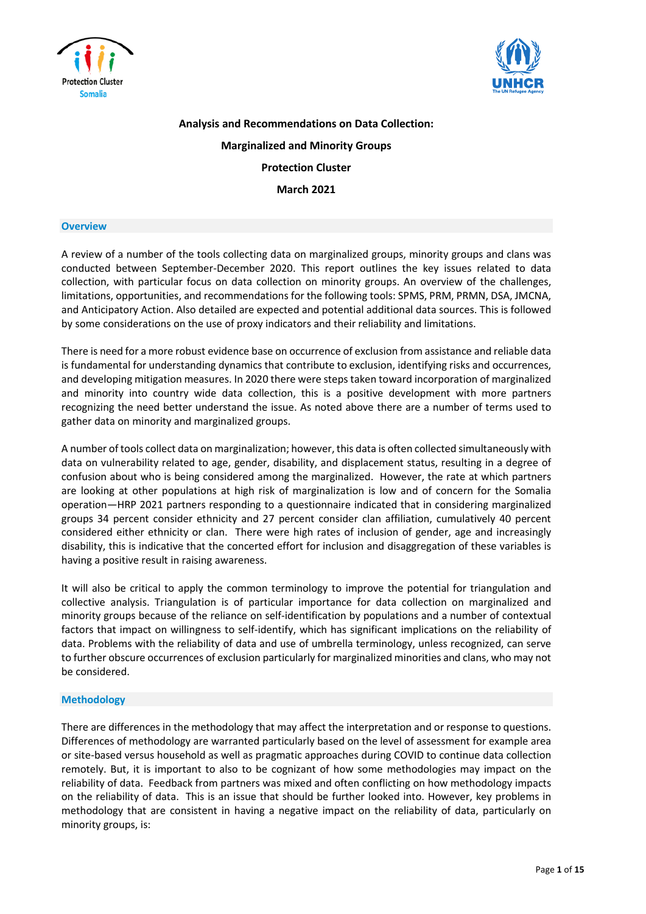



**Analysis and Recommendations on Data Collection: Marginalized and Minority Groups Protection Cluster March 2021**

#### **Overview**

A review of a number of the tools collecting data on marginalized groups, minority groups and clans was conducted between September-December 2020. This report outlines the key issues related to data collection, with particular focus on data collection on minority groups. An overview of the challenges, limitations, opportunities, and recommendations for the following tools: SPMS, PRM, PRMN, DSA, JMCNA, and Anticipatory Action. Also detailed are expected and potential additional data sources. This is followed by some considerations on the use of proxy indicators and their reliability and limitations.

There is need for a more robust evidence base on occurrence of exclusion from assistance and reliable data is fundamental for understanding dynamics that contribute to exclusion, identifying risks and occurrences, and developing mitigation measures. In 2020 there were stepstaken toward incorporation of marginalized and minority into country wide data collection, this is a positive development with more partners recognizing the need better understand the issue. As noted above there are a number of terms used to gather data on minority and marginalized groups.

A number of tools collect data on marginalization; however, this data is often collected simultaneously with data on vulnerability related to age, gender, disability, and displacement status, resulting in a degree of confusion about who is being considered among the marginalized. However, the rate at which partners are looking at other populations at high risk of marginalization is low and of concern for the Somalia operation—HRP 2021 partners responding to a questionnaire indicated that in considering marginalized groups 34 percent consider ethnicity and 27 percent consider clan affiliation, cumulatively 40 percent considered either ethnicity or clan. There were high rates of inclusion of gender, age and increasingly disability, this is indicative that the concerted effort for inclusion and disaggregation of these variables is having a positive result in raising awareness.

It will also be critical to apply the common terminology to improve the potential for triangulation and collective analysis. Triangulation is of particular importance for data collection on marginalized and minority groups because of the reliance on self-identification by populations and a number of contextual factors that impact on willingness to self-identify, which has significant implications on the reliability of data. Problems with the reliability of data and use of umbrella terminology, unless recognized, can serve to further obscure occurrences of exclusion particularly for marginalized minorities and clans, who may not be considered.

#### **Methodology**

There are differences in the methodology that may affect the interpretation and or response to questions. Differences of methodology are warranted particularly based on the level of assessment for example area or site-based versus household as well as pragmatic approaches during COVID to continue data collection remotely. But, it is important to also to be cognizant of how some methodologies may impact on the reliability of data. Feedback from partners was mixed and often conflicting on how methodology impacts on the reliability of data. This is an issue that should be further looked into. However, key problems in methodology that are consistent in having a negative impact on the reliability of data, particularly on minority groups, is: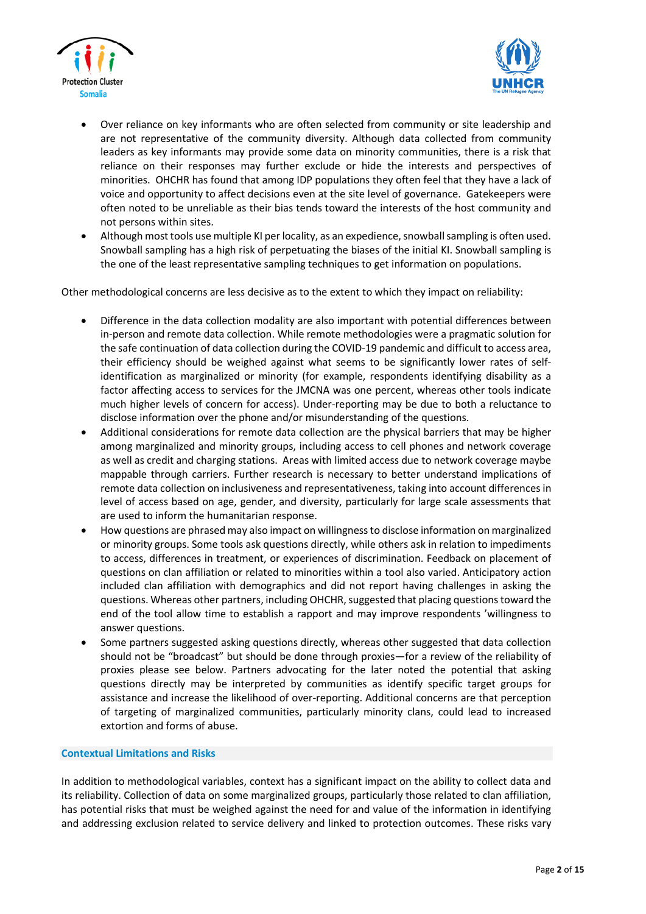



- Over reliance on key informants who are often selected from community or site leadership and are not representative of the community diversity. Although data collected from community leaders as key informants may provide some data on minority communities, there is a risk that reliance on their responses may further exclude or hide the interests and perspectives of minorities. OHCHR has found that among IDP populations they often feel that they have a lack of voice and opportunity to affect decisions even at the site level of governance. Gatekeepers were often noted to be unreliable as their bias tends toward the interests of the host community and not persons within sites.
- Although most tools use multiple KI per locality, as an expedience, snowball sampling is often used. Snowball sampling has a high risk of perpetuating the biases of the initial KI. Snowball sampling is the one of the least representative sampling techniques to get information on populations.

Other methodological concerns are less decisive as to the extent to which they impact on reliability:

- Difference in the data collection modality are also important with potential differences between in-person and remote data collection. While remote methodologies were a pragmatic solution for the safe continuation of data collection during the COVID-19 pandemic and difficult to access area, their efficiency should be weighed against what seems to be significantly lower rates of selfidentification as marginalized or minority (for example, respondents identifying disability as a factor affecting access to services for the JMCNA was one percent, whereas other tools indicate much higher levels of concern for access). Under-reporting may be due to both a reluctance to disclose information over the phone and/or misunderstanding of the questions.
- Additional considerations for remote data collection are the physical barriers that may be higher among marginalized and minority groups, including access to cell phones and network coverage as well as credit and charging stations. Areas with limited access due to network coverage maybe mappable through carriers. Further research is necessary to better understand implications of remote data collection on inclusiveness and representativeness, taking into account differences in level of access based on age, gender, and diversity, particularly for large scale assessments that are used to inform the humanitarian response.
- How questions are phrased may also impact on willingnessto disclose information on marginalized or minority groups. Some tools ask questions directly, while others ask in relation to impediments to access, differences in treatment, or experiences of discrimination. Feedback on placement of questions on clan affiliation or related to minorities within a tool also varied. Anticipatory action included clan affiliation with demographics and did not report having challenges in asking the questions. Whereas other partners, including OHCHR, suggested that placing questions toward the end of the tool allow time to establish a rapport and may improve respondents 'willingness to answer questions.
- Some partners suggested asking questions directly, whereas other suggested that data collection should not be "broadcast" but should be done through proxies—for a review of the reliability of proxies please see below. Partners advocating for the later noted the potential that asking questions directly may be interpreted by communities as identify specific target groups for assistance and increase the likelihood of over-reporting. Additional concerns are that perception of targeting of marginalized communities, particularly minority clans, could lead to increased extortion and forms of abuse.

## **Contextual Limitations and Risks**

In addition to methodological variables, context has a significant impact on the ability to collect data and its reliability. Collection of data on some marginalized groups, particularly those related to clan affiliation, has potential risks that must be weighed against the need for and value of the information in identifying and addressing exclusion related to service delivery and linked to protection outcomes. These risks vary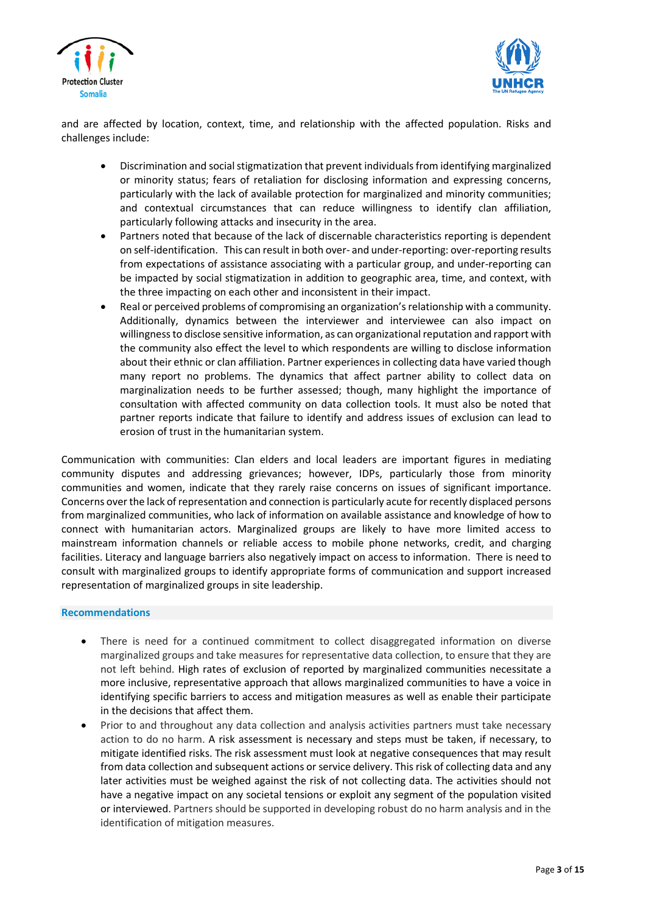



and are affected by location, context, time, and relationship with the affected population. Risks and challenges include:

- Discrimination and socialstigmatization that prevent individualsfrom identifying marginalized or minority status; fears of retaliation for disclosing information and expressing concerns, particularly with the lack of available protection for marginalized and minority communities; and contextual circumstances that can reduce willingness to identify clan affiliation, particularly following attacks and insecurity in the area.
- Partners noted that because of the lack of discernable characteristics reporting is dependent on self-identification. This can result in both over- and under-reporting: over-reporting results from expectations of assistance associating with a particular group, and under-reporting can be impacted by social stigmatization in addition to geographic area, time, and context, with the three impacting on each other and inconsistent in their impact.
- Real or perceived problems of compromising an organization's relationship with a community. Additionally, dynamics between the interviewer and interviewee can also impact on willingness to disclose sensitive information, as can organizational reputation and rapport with the community also effect the level to which respondents are willing to disclose information about their ethnic or clan affiliation. Partner experiencesin collecting data have varied though many report no problems. The dynamics that affect partner ability to collect data on marginalization needs to be further assessed; though, many highlight the importance of consultation with affected community on data collection tools. It must also be noted that partner reports indicate that failure to identify and address issues of exclusion can lead to erosion of trust in the humanitarian system.

Communication with communities: Clan elders and local leaders are important figures in mediating community disputes and addressing grievances; however, IDPs, particularly those from minority communities and women, indicate that they rarely raise concerns on issues of significant importance. Concerns overthe lack ofrepresentation and connection is particularly acute forrecently displaced persons from marginalized communities, who lack of information on available assistance and knowledge of how to connect with humanitarian actors. Marginalized groups are likely to have more limited access to mainstream information channels or reliable access to mobile phone networks, credit, and charging facilities. Literacy and language barriers also negatively impact on access to information. There is need to consult with marginalized groups to identify appropriate forms of communication and support increased representation of marginalized groups in site leadership.

#### **Recommendations**

- There is need for a continued commitment to collect disaggregated information on diverse marginalized groups and take measures for representative data collection, to ensure that they are not left behind. High rates of exclusion of reported by marginalized communities necessitate a more inclusive, representative approach that allows marginalized communities to have a voice in identifying specific barriers to access and mitigation measures as well as enable their participate in the decisions that affect them.
- Prior to and throughout any data collection and analysis activities partners must take necessary action to do no harm. A risk assessment is necessary and steps must be taken, if necessary, to mitigate identified risks. The risk assessment must look at negative consequences that may result from data collection and subsequent actions or service delivery. Thisrisk of collecting data and any later activities must be weighed against the risk of not collecting data. The activities should not have a negative impact on any societal tensions or exploit any segment of the population visited or interviewed. Partners should be supported in developing robust do no harm analysis and in the identification of mitigation measures.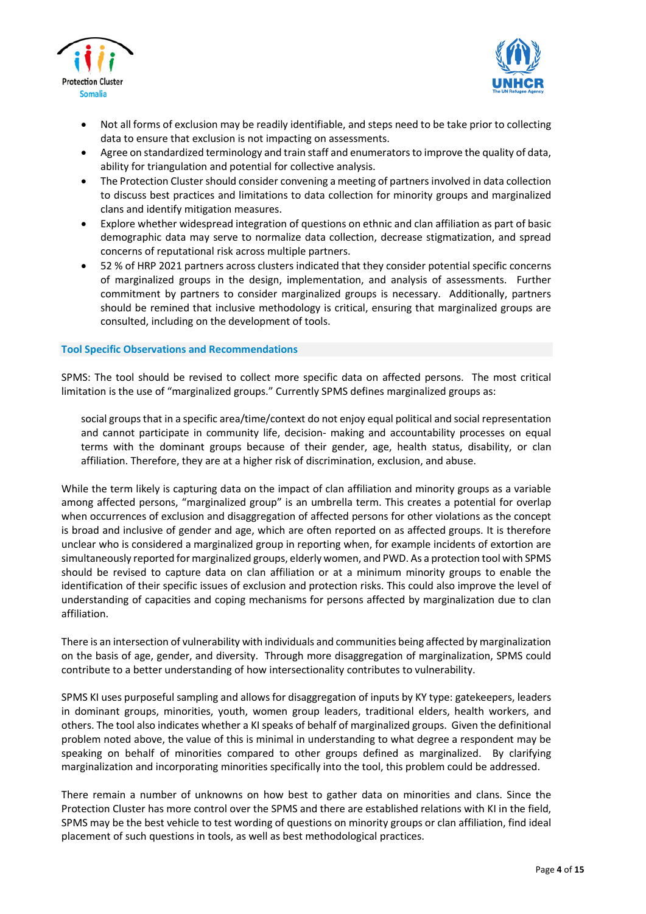



- Not all forms of exclusion may be readily identifiable, and steps need to be take prior to collecting data to ensure that exclusion is not impacting on assessments.
- Agree on standardized terminology and train staff and enumeratorsto improve the quality of data, ability for triangulation and potential for collective analysis.
- The Protection Cluster should consider convening a meeting of partners involved in data collection to discuss best practices and limitations to data collection for minority groups and marginalized clans and identify mitigation measures.
- Explore whether widespread integration of questions on ethnic and clan affiliation as part of basic demographic data may serve to normalize data collection, decrease stigmatization, and spread concerns of reputational risk across multiple partners.
- 52 % of HRP 2021 partners across clusters indicated that they consider potential specific concerns of marginalized groups in the design, implementation, and analysis of assessments. Further commitment by partners to consider marginalized groups is necessary. Additionally, partners should be remined that inclusive methodology is critical, ensuring that marginalized groups are consulted, including on the development of tools.

#### **Tool Specific Observations and Recommendations**

SPMS: The tool should be revised to collect more specific data on affected persons. The most critical limitation is the use of "marginalized groups." Currently SPMS defines marginalized groups as:

social groups that in a specific area/time/context do not enjoy equal political and social representation and cannot participate in community life, decision- making and accountability processes on equal terms with the dominant groups because of their gender, age, health status, disability, or clan affiliation. Therefore, they are at a higher risk of discrimination, exclusion, and abuse.

While the term likely is capturing data on the impact of clan affiliation and minority groups as a variable among affected persons, "marginalized group" is an umbrella term. This creates a potential for overlap when occurrences of exclusion and disaggregation of affected persons for other violations as the concept is broad and inclusive of gender and age, which are often reported on as affected groups. It is therefore unclear who is considered a marginalized group in reporting when, for example incidents of extortion are simultaneously reported for marginalized groups, elderly women, and PWD. As a protection tool with SPMS should be revised to capture data on clan affiliation or at a minimum minority groups to enable the identification of their specific issues of exclusion and protection risks. This could also improve the level of understanding of capacities and coping mechanisms for persons affected by marginalization due to clan affiliation.

There is an intersection of vulnerability with individuals and communities being affected by marginalization on the basis of age, gender, and diversity. Through more disaggregation of marginalization, SPMS could contribute to a better understanding of how intersectionality contributes to vulnerability.

SPMS KI uses purposeful sampling and allows for disaggregation of inputs by KY type: gatekeepers, leaders in dominant groups, minorities, youth, women group leaders, traditional elders, health workers, and others. The tool also indicates whether a KI speaks of behalf of marginalized groups. Given the definitional problem noted above, the value of this is minimal in understanding to what degree a respondent may be speaking on behalf of minorities compared to other groups defined as marginalized. By clarifying marginalization and incorporating minorities specifically into the tool, this problem could be addressed.

There remain a number of unknowns on how best to gather data on minorities and clans. Since the Protection Cluster has more control over the SPMS and there are established relations with KI in the field, SPMS may be the best vehicle to test wording of questions on minority groups or clan affiliation, find ideal placement of such questions in tools, as well as best methodological practices.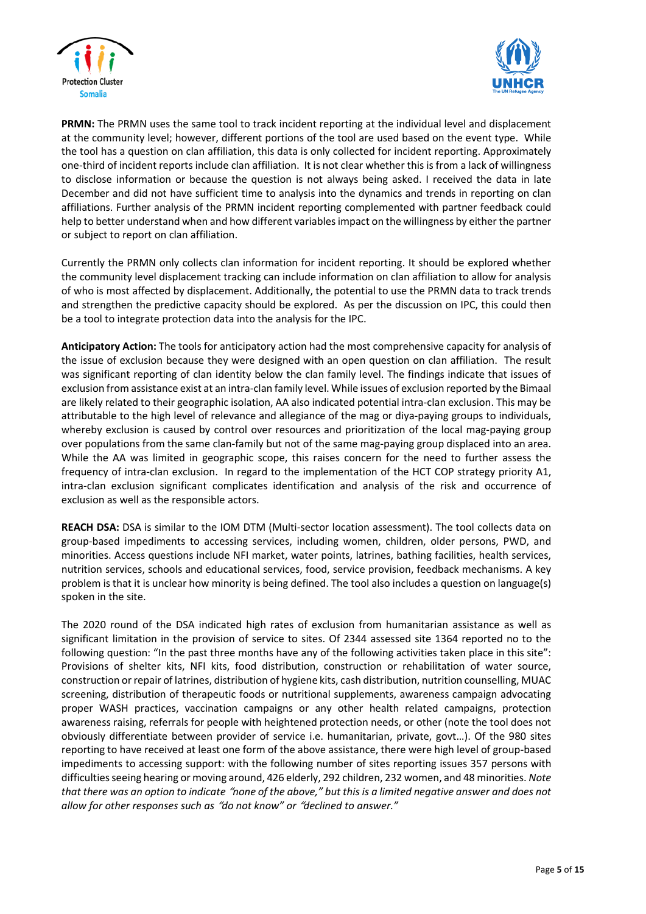



**PRMN:** The PRMN uses the same tool to track incident reporting at the individual level and displacement at the community level; however, different portions of the tool are used based on the event type. While the tool has a question on clan affiliation, this data is only collected for incident reporting. Approximately one-third of incident reportsinclude clan affiliation. It is not clear whether this is from a lack of willingness to disclose information or because the question is not always being asked. I received the data in late December and did not have sufficient time to analysis into the dynamics and trends in reporting on clan affiliations. Further analysis of the PRMN incident reporting complemented with partner feedback could help to better understand when and how different variablesimpact on the willingness by either the partner or subject to report on clan affiliation.

Currently the PRMN only collects clan information for incident reporting. It should be explored whether the community level displacement tracking can include information on clan affiliation to allow for analysis of who is most affected by displacement. Additionally, the potential to use the PRMN data to track trends and strengthen the predictive capacity should be explored. As per the discussion on IPC, this could then be a tool to integrate protection data into the analysis for the IPC.

**Anticipatory Action:** The tools for anticipatory action had the most comprehensive capacity for analysis of the issue of exclusion because they were designed with an open question on clan affiliation. The result was significant reporting of clan identity below the clan family level. The findings indicate that issues of exclusion from assistance exist at an intra-clan family level. While issues of exclusion reported by the Bimaal are likely related to their geographic isolation, AA also indicated potential intra-clan exclusion. This may be attributable to the high level of relevance and allegiance of the mag or diya-paying groups to individuals, whereby exclusion is caused by control over resources and prioritization of the local mag-paying group over populations from the same clan-family but not of the same mag-paying group displaced into an area. While the AA was limited in geographic scope, this raises concern for the need to further assess the frequency of intra-clan exclusion. In regard to the implementation of the HCT COP strategy priority A1, intra-clan exclusion significant complicates identification and analysis of the risk and occurrence of exclusion as well as the responsible actors.

**REACH DSA:** DSA is similar to the IOM DTM (Multi-sector location assessment). The tool collects data on group-based impediments to accessing services, including women, children, older persons, PWD, and minorities. Access questions include NFI market, water points, latrines, bathing facilities, health services, nutrition services, schools and educational services, food, service provision, feedback mechanisms. A key problem is that it is unclear how minority is being defined. The tool also includes a question on language(s) spoken in the site.

The 2020 round of the DSA indicated high rates of exclusion from humanitarian assistance as well as significant limitation in the provision of service to sites. Of 2344 assessed site 1364 reported no to the following question: "In the past three months have any of the following activities taken place in this site": Provisions of shelter kits, NFI kits, food distribution, construction or rehabilitation of water source, construction orrepair of latrines, distribution of hygiene kits, cash distribution, nutrition counselling, MUAC screening, distribution of therapeutic foods or nutritional supplements, awareness campaign advocating proper WASH practices, vaccination campaigns or any other health related campaigns, protection awareness raising, referrals for people with heightened protection needs, or other (note the tool does not obviously differentiate between provider of service i.e. humanitarian, private, govt…). Of the 980 sites reporting to have received at least one form of the above assistance, there were high level of group-based impediments to accessing support: with the following number of sites reporting issues 357 persons with difficultiesseeing hearing or moving around, 426 elderly, 292 children, 232 women, and 48 minorities. *Note* that there was an option to indicate "none of the above." but this is a limited neaative answer and does not *allow for other responses such as* "*do not know" or* "*declined to answer."*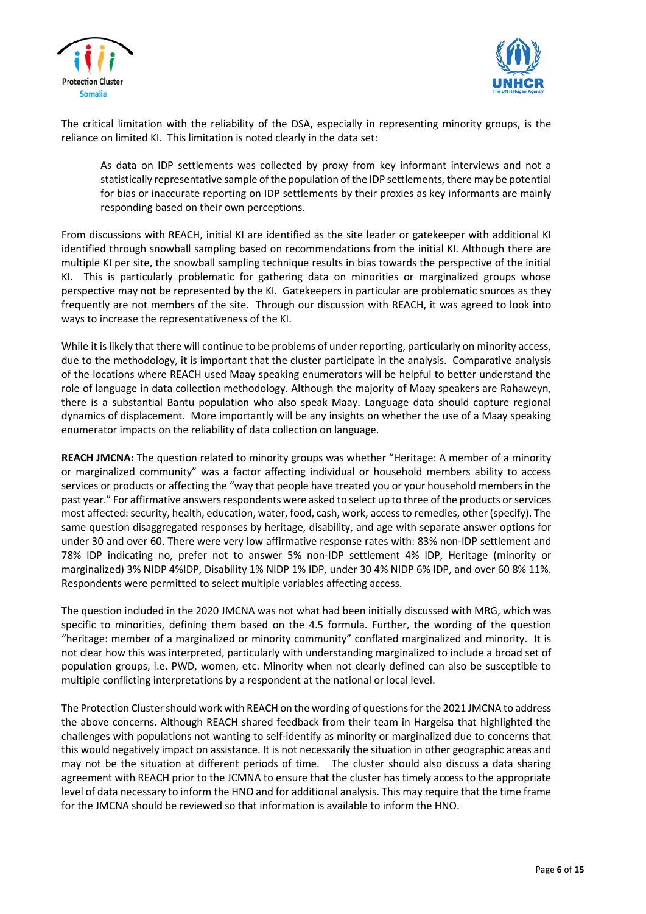



The critical limitation with the reliability of the DSA, especially in representing minority groups, is the reliance on limited KI. This limitation is noted clearly in the data set:

As data on IDP settlements was collected by proxy from key informant interviews and not a statistically representative sample of the population of the IDP settlements, there may be potential for bias or inaccurate reporting on IDP settlements by their proxies as key informants are mainly responding based on their own perceptions.

From discussions with REACH, initial KI are identified as the site leader or gatekeeper with additional KI identified through snowball sampling based on recommendations from the initial KI. Although there are multiple KI per site, the snowball sampling technique results in bias towards the perspective of the initial KI. This is particularly problematic for gathering data on minorities or marginalized groups whose perspective may not be represented by the KI. Gatekeepers in particular are problematic sources as they frequently are not members of the site. Through our discussion with REACH, it was agreed to look into ways to increase the representativeness of the KI.

While it is likely that there will continue to be problems of under reporting, particularly on minority access, due to the methodology, it is important that the cluster participate in the analysis. Comparative analysis of the locations where REACH used Maay speaking enumerators will be helpful to better understand the role of language in data collection methodology. Although the majority of Maay speakers are Rahaweyn, there is a substantial Bantu population who also speak Maay. Language data should capture regional dynamics of displacement. More importantly will be any insights on whether the use of a Maay speaking enumerator impacts on the reliability of data collection on language.

**REACH JMCNA:** The question related to minority groups was whether "Heritage: A member of a minority or marginalized community" was a factor affecting individual or household members ability to access services or products or affecting the "way that people have treated you or your household members in the past year." For affirmative answers respondents were asked to select up to three of the products or services most affected: security, health, education, water, food, cash, work, accessto remedies, other (specify). The same question disaggregated responses by heritage, disability, and age with separate answer options for under 30 and over 60. There were very low affirmative response rates with: 83% non-IDP settlement and 78% IDP indicating no, prefer not to answer 5% non-IDP settlement 4% IDP, Heritage (minority or marginalized) 3% NIDP 4%IDP, Disability 1% NIDP 1% IDP, under 30 4% NIDP 6% IDP, and over 60 8% 11%. Respondents were permitted to select multiple variables affecting access.

The question included in the 2020 JMCNA was not what had been initially discussed with MRG, which was specific to minorities, defining them based on the 4.5 formula. Further, the wording of the question "heritage: member of a marginalized or minority community" conflated marginalized and minority. It is not clear how this was interpreted, particularly with understanding marginalized to include a broad set of population groups, i.e. PWD, women, etc. Minority when not clearly defined can also be susceptible to multiple conflicting interpretations by a respondent at the national or local level.

The Protection Cluster should work with REACH on the wording of questions for the 2021 JMCNA to address the above concerns. Although REACH shared feedback from their team in Hargeisa that highlighted the challenges with populations not wanting to self-identify as minority or marginalized due to concerns that this would negatively impact on assistance. It is not necessarily the situation in other geographic areas and may not be the situation at different periods of time. The cluster should also discuss a data sharing agreement with REACH prior to the JCMNA to ensure that the cluster has timely access to the appropriate level of data necessary to inform the HNO and for additional analysis. This may require that the time frame for the JMCNA should be reviewed so that information is available to inform the HNO.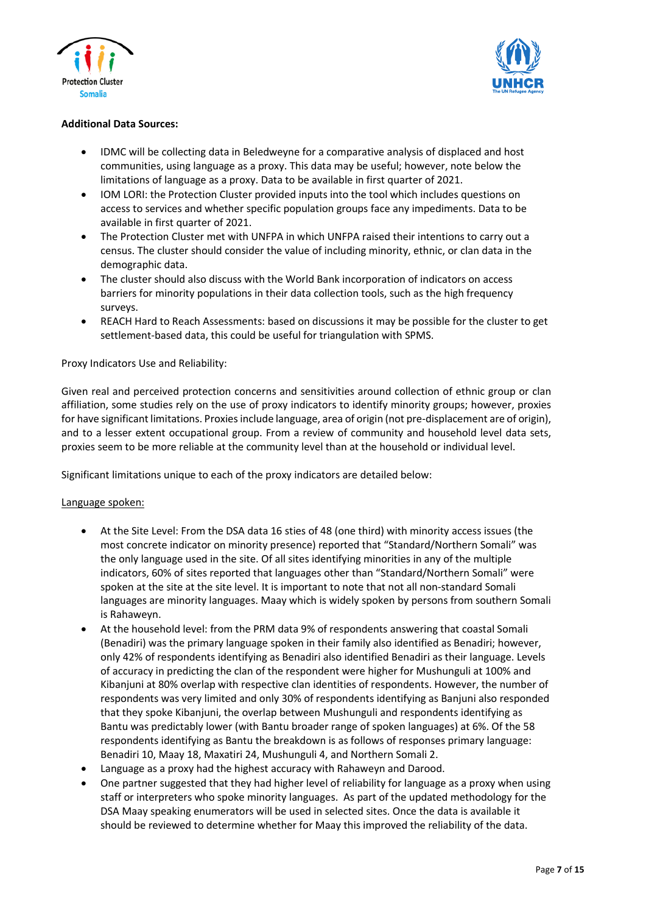



## **Additional Data Sources:**

- IDMC will be collecting data in Beledweyne for a comparative analysis of displaced and host communities, using language as a proxy. This data may be useful; however, note below the limitations of language as a proxy. Data to be available in first quarter of 2021.
- IOM LORI: the Protection Cluster provided inputs into the tool which includes questions on access to services and whether specific population groups face any impediments. Data to be available in first quarter of 2021.
- The Protection Cluster met with UNFPA in which UNFPA raised their intentions to carry out a census. The cluster should consider the value of including minority, ethnic, or clan data in the demographic data.
- The cluster should also discuss with the World Bank incorporation of indicators on access barriers for minority populations in their data collection tools, such as the high frequency surveys.
- REACH Hard to Reach Assessments: based on discussions it may be possible for the cluster to get settlement-based data, this could be useful for triangulation with SPMS.

## Proxy Indicators Use and Reliability:

Given real and perceived protection concerns and sensitivities around collection of ethnic group or clan affiliation, some studies rely on the use of proxy indicators to identify minority groups; however, proxies for have significant limitations. Proxies include language, area of origin (not pre-displacement are of origin), and to a lesser extent occupational group. From a review of community and household level data sets, proxies seem to be more reliable at the community level than at the household or individual level.

Significant limitations unique to each of the proxy indicators are detailed below:

## Language spoken:

- At the Site Level: From the DSA data 16 sties of 48 (one third) with minority access issues (the most concrete indicator on minority presence) reported that "Standard/Northern Somali" was the only language used in the site. Of all sites identifying minorities in any of the multiple indicators, 60% of sites reported that languages other than "Standard/Northern Somali" were spoken at the site at the site level. It is important to note that not all non-standard Somali languages are minority languages. Maay which is widely spoken by persons from southern Somali is Rahaweyn.
- At the household level: from the PRM data 9% of respondents answering that coastal Somali (Benadiri) was the primary language spoken in their family also identified as Benadiri; however, only 42% of respondents identifying as Benadiri also identified Benadiri as their language. Levels of accuracy in predicting the clan of the respondent were higher for Mushunguli at 100% and Kibanjuni at 80% overlap with respective clan identities of respondents. However, the number of respondents was very limited and only 30% of respondents identifying as Banjuni also responded that they spoke Kibanjuni, the overlap between Mushunguli and respondents identifying as Bantu was predictably lower (with Bantu broader range of spoken languages) at 6%. Of the 58 respondents identifying as Bantu the breakdown is as follows of responses primary language: Benadiri 10, Maay 18, Maxatiri 24, Mushunguli 4, and Northern Somali 2.
- Language as a proxy had the highest accuracy with Rahaweyn and Darood.
- One partner suggested that they had higher level of reliability for language as a proxy when using staff or interpreters who spoke minority languages. As part of the updated methodology for the DSA Maay speaking enumerators will be used in selected sites. Once the data is available it should be reviewed to determine whether for Maay this improved the reliability of the data.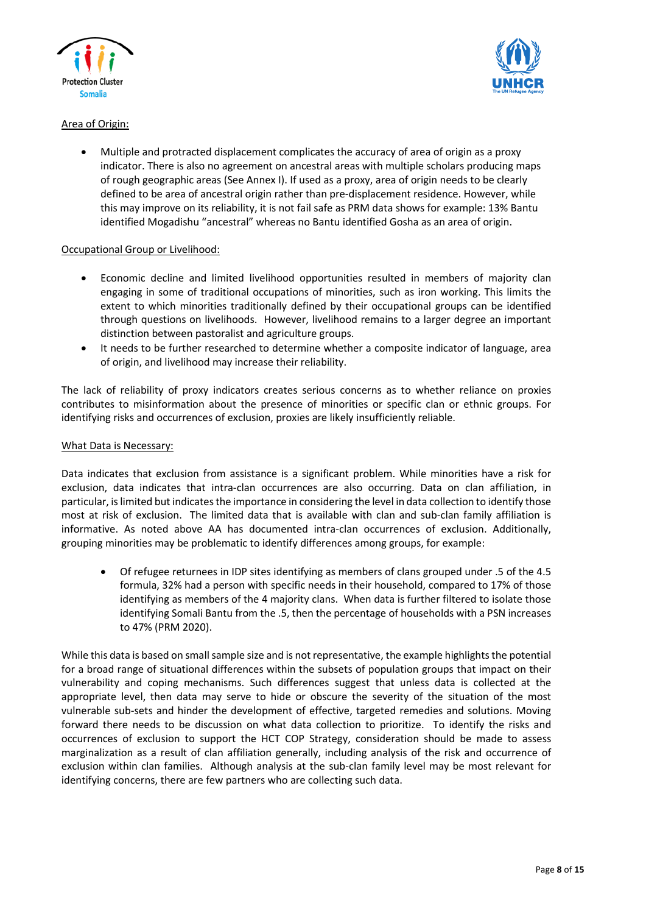



# Area of Origin:

• Multiple and protracted displacement complicates the accuracy of area of origin as a proxy indicator. There is also no agreement on ancestral areas with multiple scholars producing maps of rough geographic areas (See Annex I). If used as a proxy, area of origin needs to be clearly defined to be area of ancestral origin rather than pre-displacement residence. However, while this may improve on its reliability, it is not fail safe as PRM data shows for example: 13% Bantu identified Mogadishu "ancestral" whereas no Bantu identified Gosha as an area of origin.

## Occupational Group or Livelihood:

- Economic decline and limited livelihood opportunities resulted in members of majority clan engaging in some of traditional occupations of minorities, such as iron working. This limits the extent to which minorities traditionally defined by their occupational groups can be identified through questions on livelihoods. However, livelihood remains to a larger degree an important distinction between pastoralist and agriculture groups.
- It needs to be further researched to determine whether a composite indicator of language, area of origin, and livelihood may increase their reliability.

The lack of reliability of proxy indicators creates serious concerns as to whether reliance on proxies contributes to misinformation about the presence of minorities or specific clan or ethnic groups. For identifying risks and occurrences of exclusion, proxies are likely insufficiently reliable.

## What Data is Necessary:

Data indicates that exclusion from assistance is a significant problem. While minorities have a risk for exclusion, data indicates that intra-clan occurrences are also occurring. Data on clan affiliation, in particular, islimited but indicatesthe importance in considering the level in data collection to identify those most at risk of exclusion. The limited data that is available with clan and sub-clan family affiliation is informative. As noted above AA has documented intra-clan occurrences of exclusion. Additionally, grouping minorities may be problematic to identify differences among groups, for example:

• Of refugee returnees in IDP sites identifying as members of clans grouped under .5 of the 4.5 formula, 32% had a person with specific needs in their household, compared to 17% of those identifying as members of the 4 majority clans. When data is further filtered to isolate those identifying Somali Bantu from the .5, then the percentage of households with a PSN increases to 47% (PRM 2020).

While this data is based on small sample size and is not representative, the example highlights the potential for a broad range of situational differences within the subsets of population groups that impact on their vulnerability and coping mechanisms. Such differences suggest that unless data is collected at the appropriate level, then data may serve to hide or obscure the severity of the situation of the most vulnerable sub-sets and hinder the development of effective, targeted remedies and solutions. Moving forward there needs to be discussion on what data collection to prioritize. To identify the risks and occurrences of exclusion to support the HCT COP Strategy, consideration should be made to assess marginalization as a result of clan affiliation generally, including analysis of the risk and occurrence of exclusion within clan families. Although analysis at the sub-clan family level may be most relevant for identifying concerns, there are few partners who are collecting such data.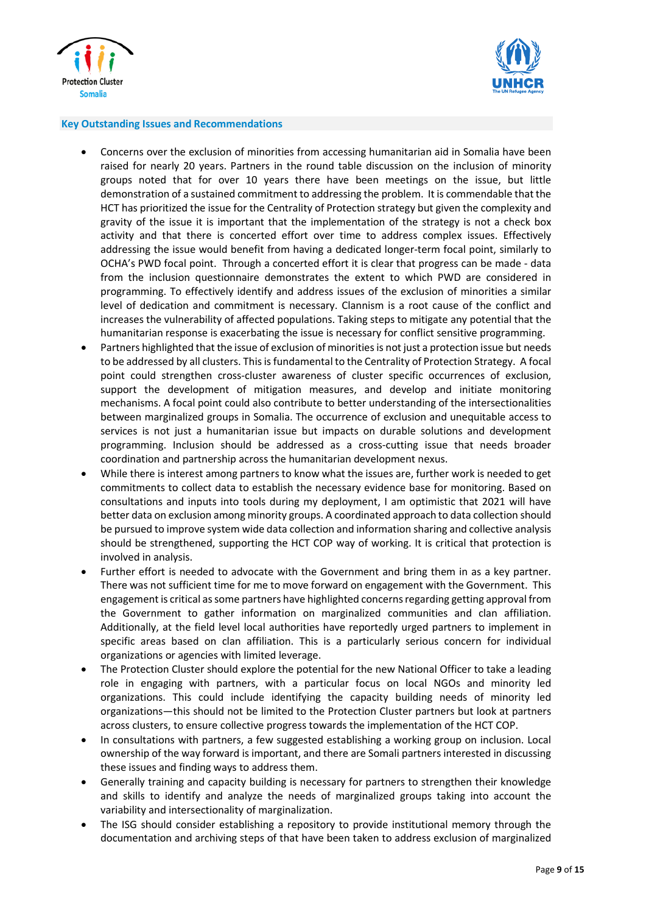



#### **Key Outstanding Issues and Recommendations**

- Concerns over the exclusion of minorities from accessing humanitarian aid in Somalia have been raised for nearly 20 years. Partners in the round table discussion on the inclusion of minority groups noted that for over 10 years there have been meetings on the issue, but little demonstration of a sustained commitment to addressing the problem. It is commendable that the HCT has prioritized the issue for the Centrality of Protection strategy but given the complexity and gravity of the issue it is important that the implementation of the strategy is not a check box activity and that there is concerted effort over time to address complex issues. Effectively addressing the issue would benefit from having a dedicated longer-term focal point, similarly to OCHA's PWD focal point. Through a concerted effort it is clear that progress can be made - data from the inclusion questionnaire demonstrates the extent to which PWD are considered in programming. To effectively identify and address issues of the exclusion of minorities a similar level of dedication and commitment is necessary. Clannism is a root cause of the conflict and increases the vulnerability of affected populations. Taking steps to mitigate any potential that the humanitarian response is exacerbating the issue is necessary for conflict sensitive programming.
- Partners highlighted that the issue of exclusion of minorities is not just a protection issue but needs to be addressed by all clusters. This is fundamental to the Centrality of Protection Strategy. A focal point could strengthen cross-cluster awareness of cluster specific occurrences of exclusion, support the development of mitigation measures, and develop and initiate monitoring mechanisms. A focal point could also contribute to better understanding of the intersectionalities between marginalized groups in Somalia. The occurrence of exclusion and unequitable access to services is not just a humanitarian issue but impacts on durable solutions and development programming. Inclusion should be addressed as a cross-cutting issue that needs broader coordination and partnership across the humanitarian development nexus.
- While there is interest among partners to know what the issues are, further work is needed to get commitments to collect data to establish the necessary evidence base for monitoring. Based on consultations and inputs into tools during my deployment, I am optimistic that 2021 will have better data on exclusion among minority groups. A coordinated approach to data collection should be pursued to improve system wide data collection and information sharing and collective analysis should be strengthened, supporting the HCT COP way of working. It is critical that protection is involved in analysis.
- Further effort is needed to advocate with the Government and bring them in as a key partner. There was not sufficient time for me to move forward on engagement with the Government. This engagement is critical assome partners have highlighted concernsregarding getting approval from the Government to gather information on marginalized communities and clan affiliation. Additionally, at the field level local authorities have reportedly urged partners to implement in specific areas based on clan affiliation. This is a particularly serious concern for individual organizations or agencies with limited leverage.
- The Protection Cluster should explore the potential for the new National Officer to take a leading role in engaging with partners, with a particular focus on local NGOs and minority led organizations. This could include identifying the capacity building needs of minority led organizations—this should not be limited to the Protection Cluster partners but look at partners across clusters, to ensure collective progress towards the implementation of the HCT COP.
- In consultations with partners, a few suggested establishing a working group on inclusion. Local ownership of the way forward is important, and there are Somali partners interested in discussing these issues and finding ways to address them.
- Generally training and capacity building is necessary for partners to strengthen their knowledge and skills to identify and analyze the needs of marginalized groups taking into account the variability and intersectionality of marginalization.
- The ISG should consider establishing a repository to provide institutional memory through the documentation and archiving steps of that have been taken to address exclusion of marginalized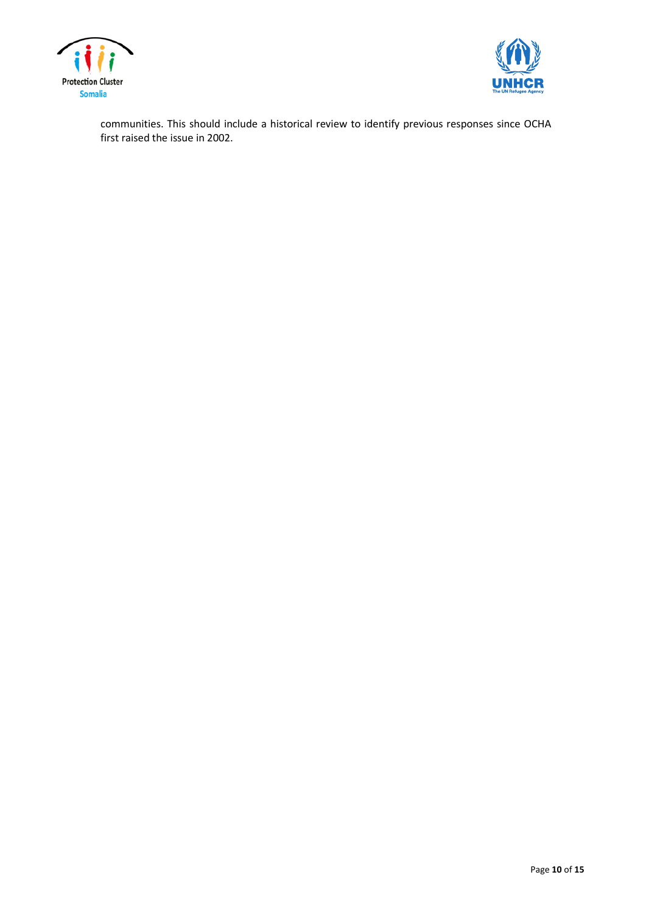



communities. This should include a historical review to identify previous responses since OCHA first raised the issue in 2002.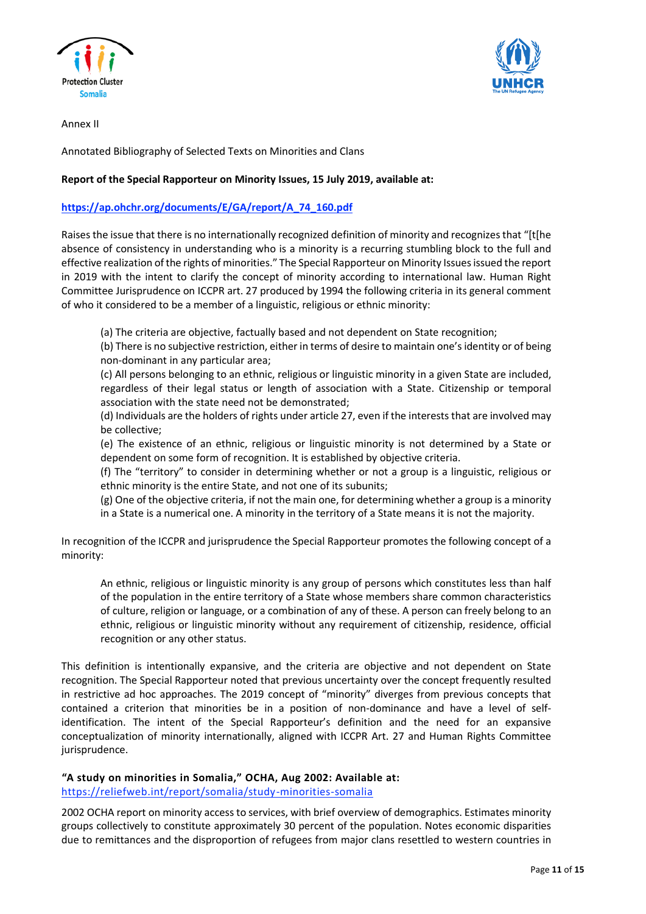



Annex II

Annotated Bibliography of Selected Texts on Minorities and Clans

## **Report of the Special Rapporteur on Minority Issues, 15 July 2019, available at:**

## **[https://ap.ohchr.org/documents/E/GA/report/A\\_74\\_160.pdf](https://ap.ohchr.org/documents/E/GA/report/A_74_160.pdf)**

Raises the issue that there is no internationally recognized definition of minority and recognizes that "[t[he absence of consistency in understanding who is a minority is a recurring stumbling block to the full and effective realization ofthe rights of minorities." The Special Rapporteur on Minority Issuesissued the report in 2019 with the intent to clarify the concept of minority according to international law. Human Right Committee Jurisprudence on ICCPR art. 27 produced by 1994 the following criteria in its general comment of who it considered to be a member of a linguistic, religious or ethnic minority:

(a) The criteria are objective, factually based and not dependent on State recognition;

(b) There is no subjective restriction, either in terms of desire to maintain one'sidentity or of being non-dominant in any particular area;

(c) All persons belonging to an ethnic, religious or linguistic minority in a given State are included, regardless of their legal status or length of association with a State. Citizenship or temporal association with the state need not be demonstrated;

(d) Individuals are the holders of rights under article 27, even if the interests that are involved may be collective;

(e) The existence of an ethnic, religious or linguistic minority is not determined by a State or dependent on some form of recognition. It is established by objective criteria.

(f) The "territory" to consider in determining whether or not a group is a linguistic, religious or ethnic minority is the entire State, and not one of its subunits;

(g) One of the objective criteria, if not the main one, for determining whether a group is a minority in a State is a numerical one. A minority in the territory of a State means it is not the majority.

In recognition of the ICCPR and jurisprudence the Special Rapporteur promotes the following concept of a minority:

An ethnic, religious or linguistic minority is any group of persons which constitutes less than half of the population in the entire territory of a State whose members share common characteristics of culture, religion or language, or a combination of any of these. A person can freely belong to an ethnic, religious or linguistic minority without any requirement of citizenship, residence, official recognition or any other status.

This definition is intentionally expansive, and the criteria are objective and not dependent on State recognition. The Special Rapporteur noted that previous uncertainty over the concept frequently resulted in restrictive ad hoc approaches. The 2019 concept of "minority" diverges from previous concepts that contained a criterion that minorities be in a position of non-dominance and have a level of selfidentification. The intent of the Special Rapporteur's definition and the need for an expansive conceptualization of minority internationally, aligned with ICCPR Art. 27 and Human Rights Committee jurisprudence.

 **"A study on minorities in Somalia," OCHA, Aug 2002: Available at:**

<https://reliefweb.int/report/somalia/study-minorities-somalia>

2002 OCHA report on minority access to services, with brief overview of demographics. Estimates minority groups collectively to constitute approximately 30 percent of the population. Notes economic disparities due to remittances and the disproportion of refugees from major clans resettled to western countries in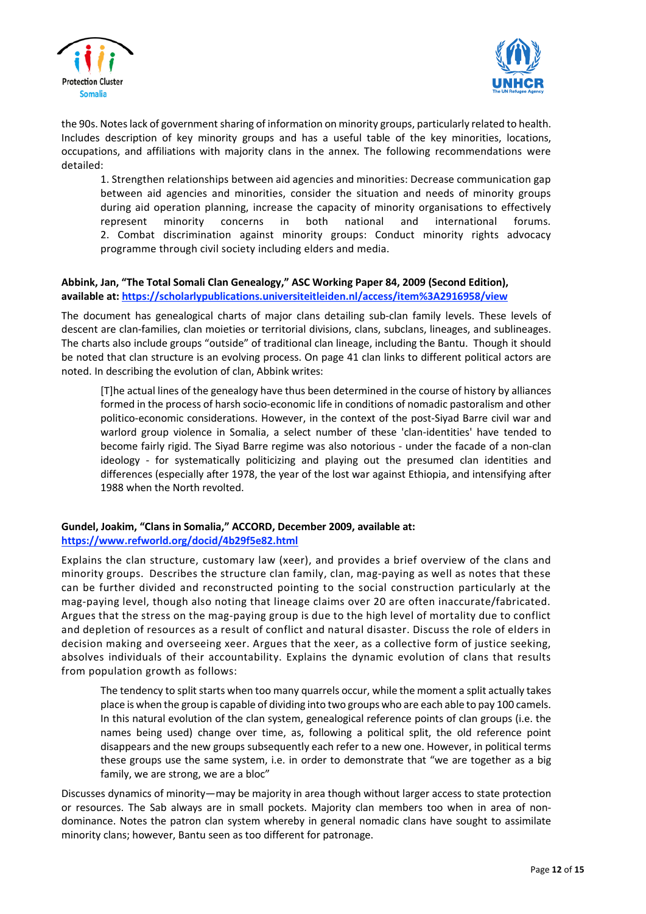



the 90s. Notes lack of government sharing of information on minority groups, particularly related to health. Includes description of key minority groups and has a useful table of the key minorities, locations, occupations, and affiliations with majority clans in the annex. The following recommendations were detailed:

1. Strengthen relationships between aid agencies and minorities: Decrease communication gap between aid agencies and minorities, consider the situation and needs of minority groups during aid operation planning, increase the capacity of minority organisations to effectively represent minority concerns in both national and international forums. 2. Combat discrimination against minority groups: Conduct minority rights advocacy programme through civil society including elders and media.

# **Abbink, Jan, "The Total Somali Clan Genealogy," ASC Working Paper 84, 2009 (Second Edition), available at: <https://scholarlypublications.universiteitleiden.nl/access/item%3A2916958/view>**

The document has genealogical charts of major clans detailing sub-clan family levels. These levels of descent are clan-families, clan moieties or territorial divisions, clans, subclans, lineages, and sublineages. The charts also include groups "outside" of traditional clan lineage, including the Bantu. Though it should be noted that clan structure is an evolving process. On page 41 clan links to different political actors are noted. In describing the evolution of clan, Abbink writes:

[T]he actual lines of the genealogy have thus been determined in the course of history by alliances formed in the process of harsh socio-economic life in conditions of nomadic pastoralism and other politico-economic considerations. However, in the context of the post-Siyad Barre civil war and warlord group violence in Somalia, a select number of these 'clan-identities' have tended to become fairly rigid. The Siyad Barre regime was also notorious - under the facade of a non-clan ideology - for systematically politicizing and playing out the presumed clan identities and differences (especially after 1978, the year of the lost war against Ethiopia, and intensifying after 1988 when the North revolted.

# **Gundel, Joakim, "Clans in Somalia," ACCORD, December 2009, available at: <https://www.refworld.org/docid/4b29f5e82.html>**

Explains the clan structure, customary law (xeer), and provides a brief overview of the clans and minority groups. Describes the structure clan family, clan, mag-paying as well as notes that these can be further divided and reconstructed pointing to the social construction particularly at the mag-paying level, though also noting that lineage claims over 20 are often inaccurate/fabricated. Argues that the stress on the mag-paying group is due to the high level of mortality due to conflict and depletion of resources as a result of conflict and natural disaster. Discuss the role of elders in decision making and overseeing xeer. Argues that the xeer, as a collective form of justice seeking, absolves individuals of their accountability. Explains the dynamic evolution of clans that results from population growth as follows:

The tendency to split starts when too many quarrels occur, while the moment a split actually takes place is when the group is capable of dividing into two groups who are each able to pay 100 camels. In this natural evolution of the clan system, genealogical reference points of clan groups (i.e. the names being used) change over time, as, following a political split, the old reference point disappears and the new groups subsequently each refer to a new one. However, in political terms these groups use the same system, i.e. in order to demonstrate that "we are together as a big family, we are strong, we are a bloc"

Discusses dynamics of minority—may be majority in area though without larger access to state protection or resources. The Sab always are in small pockets. Majority clan members too when in area of nondominance. Notes the patron clan system whereby in general nomadic clans have sought to assimilate minority clans; however, Bantu seen as too different for patronage.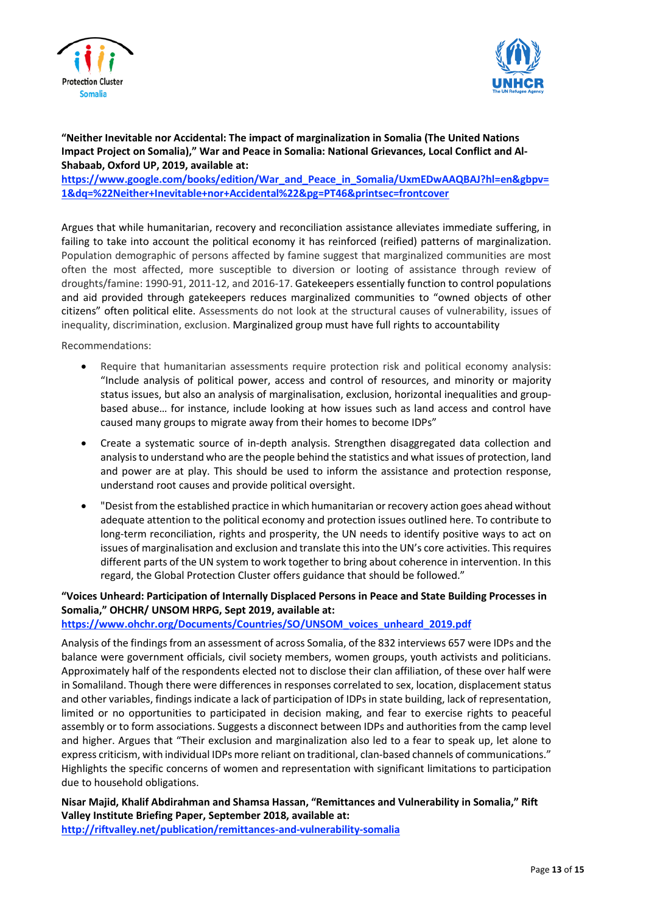



## **"Neither Inevitable nor Accidental: The impact of marginalization in Somalia (The United Nations Impact Project on Somalia)," War and Peace in Somalia: National Grievances, Local Conflict and Al-Shabaab, Oxford UP, 2019, available at:**

**[https://www.google.com/books/edition/War\\_and\\_Peace\\_in\\_Somalia/UxmEDwAAQBAJ?hl=en&gbpv=](https://www.google.com/books/edition/War_and_Peace_in_Somalia/UxmEDwAAQBAJ?hl=en&gbpv=1&dq=%22Neither+Inevitable+nor+Accidental%22&pg=PT46&printsec=frontcover) [1&dq=%22Neither+Inevitable+nor+Accidental%22&pg=PT46&printsec=frontcover](https://www.google.com/books/edition/War_and_Peace_in_Somalia/UxmEDwAAQBAJ?hl=en&gbpv=1&dq=%22Neither+Inevitable+nor+Accidental%22&pg=PT46&printsec=frontcover)**

Argues that while humanitarian, recovery and reconciliation assistance alleviates immediate suffering, in failing to take into account the political economy it has reinforced (reified) patterns of marginalization. Population demographic of persons affected by famine suggest that marginalized communities are most often the most affected, more susceptible to diversion or looting of assistance through review of droughts/famine: 1990-91, 2011-12, and 2016-17. Gatekeepers essentially function to control populations and aid provided through gatekeepers reduces marginalized communities to "owned objects of other citizens" often political elite. Assessments do not look at the structural causes of vulnerability, issues of inequality, discrimination, exclusion. Marginalized group must have full rights to accountability

Recommendations:

- Require that humanitarian assessments require protection risk and political economy analysis: "Include analysis of political power, access and control of resources, and minority or majority status issues, but also an analysis of marginalisation, exclusion, horizontal inequalities and groupbased abuse… for instance, include looking at how issues such as land access and control have caused many groups to migrate away from their homes to become IDPs"
- Create a systematic source of in-depth analysis. Strengthen disaggregated data collection and analysisto understand who are the people behind the statistics and what issues of protection, land and power are at play. This should be used to inform the assistance and protection response, understand root causes and provide political oversight.
- "Desist from the established practice in which humanitarian orrecovery action goes ahead without adequate attention to the political economy and protection issues outlined here. To contribute to long-term reconciliation, rights and prosperity, the UN needs to identify positive ways to act on issues of marginalisation and exclusion and translate this into the UN's core activities. This requires different parts of the UN system to work together to bring about coherence in intervention. In this regard, the Global Protection Cluster offers guidance that should be followed."

# **"Voices Unheard: Participation of Internally Displaced Persons in Peace and State Building Processes in Somalia," OHCHR/ UNSOM HRPG, Sept 2019, available at:**

**[https://www.ohchr.org/Documents/Countries/SO/UNSOM\\_voices\\_unheard\\_2019.pdf](https://www.ohchr.org/Documents/Countries/SO/UNSOM_voices_unheard_2019.pdf)**

Analysis of the findings from an assessment of across Somalia, of the 832 interviews 657 were IDPs and the balance were government officials, civil society members, women groups, youth activists and politicians. Approximately half of the respondents elected not to disclose their clan affiliation, of these over half were in Somaliland. Though there were differences in responses correlated to sex, location, displacement status and other variables, findings indicate a lack of participation of IDPs in state building, lack of representation, limited or no opportunities to participated in decision making, and fear to exercise rights to peaceful assembly or to form associations. Suggests a disconnect between IDPs and authorities from the camp level and higher. Argues that "Their exclusion and marginalization also led to a fear to speak up, let alone to express criticism, with individual IDPs more reliant on traditional, clan-based channels of communications." Highlights the specific concerns of women and representation with significant limitations to participation due to household obligations.

**Nisar Majid, Khalif Abdirahman and Shamsa Hassan, "Remittances and Vulnerability in Somalia," Rift Valley Institute Briefing Paper, September 2018, available at:**

**<http://riftvalley.net/publication/remittances-and-vulnerability-somalia>**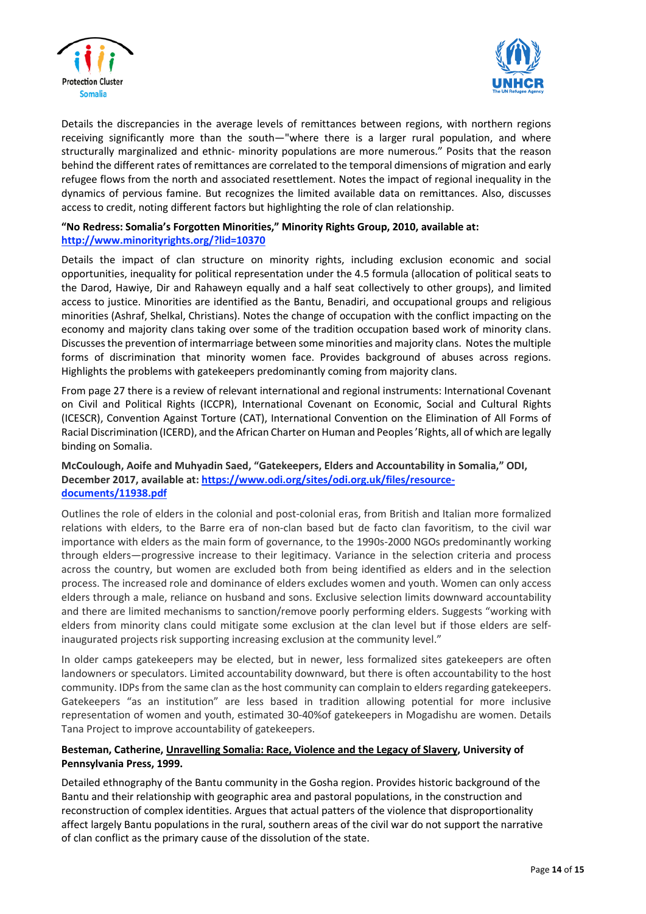



Details the discrepancies in the average levels of remittances between regions, with northern regions receiving significantly more than the south—"where there is a larger rural population, and where structurally marginalized and ethnic- minority populations are more numerous." Posits that the reason behind the different rates of remittances are correlated to the temporal dimensions of migration and early refugee flows from the north and associated resettlement. Notes the impact of regional inequality in the dynamics of pervious famine. But recognizes the limited available data on remittances. Also, discusses access to credit, noting different factors but highlighting the role of clan relationship.

## **"No Redress: Somalia's Forgotten Minorities," Minority Rights Group, 2010, available at: <http://www.minorityrights.org/?lid=10370>**

Details the impact of clan structure on minority rights, including exclusion economic and social opportunities, inequality for political representation under the 4.5 formula (allocation of political seats to the Darod, Hawiye, Dir and Rahaweyn equally and a half seat collectively to other groups), and limited access to justice. Minorities are identified as the Bantu, Benadiri, and occupational groups and religious minorities (Ashraf, Shelkal, Christians). Notes the change of occupation with the conflict impacting on the economy and majority clans taking over some of the tradition occupation based work of minority clans. Discussesthe prevention of intermarriage between some minorities and majority clans. Notesthe multiple forms of discrimination that minority women face. Provides background of abuses across regions. Highlights the problems with gatekeepers predominantly coming from majority clans.

From page 27 there is a review of relevant international and regional instruments: International Covenant on Civil and Political Rights (ICCPR), International Covenant on Economic, Social and Cultural Rights (ICESCR), Convention Against Torture (CAT), International Convention on the Elimination of All Forms of Racial Discrimination (ICERD), and the African Charter on Human and Peoples 'Rights, all of which are legally binding on Somalia.

## **McCoulough, Aoife and Muhyadin Saed, "Gatekeepers, Elders and Accountability in Somalia," ODI, December 2017, available at: [https://www.odi.org/sites/odi.org.uk/files/resource](https://www.odi.org/sites/odi.org.uk/files/resource-documents/11938.pdf)[documents/11938.pdf](https://www.odi.org/sites/odi.org.uk/files/resource-documents/11938.pdf)**

Outlines the role of elders in the colonial and post-colonial eras, from British and Italian more formalized relations with elders, to the Barre era of non-clan based but de facto clan favoritism, to the civil war importance with elders as the main form of governance, to the 1990s-2000 NGOs predominantly working through elders—progressive increase to their legitimacy. Variance in the selection criteria and process across the country, but women are excluded both from being identified as elders and in the selection process. The increased role and dominance of elders excludes women and youth. Women can only access elders through a male, reliance on husband and sons. Exclusive selection limits downward accountability and there are limited mechanisms to sanction/remove poorly performing elders. Suggests "working with elders from minority clans could mitigate some exclusion at the clan level but if those elders are selfinaugurated projects risk supporting increasing exclusion at the community level."

In older camps gatekeepers may be elected, but in newer, less formalized sites gatekeepers are often landowners or speculators. Limited accountability downward, but there is often accountability to the host community. IDPs from the same clan as the host community can complain to elders regarding gatekeepers. Gatekeepers "as an institution" are less based in tradition allowing potential for more inclusive representation of women and youth, estimated 30-40%of gatekeepers in Mogadishu are women. Details Tana Project to improve accountability of gatekeepers.

# **Besteman, Catherine, Unravelling Somalia: Race, Violence and the Legacy of Slavery, University of Pennsylvania Press, 1999.**

Detailed ethnography of the Bantu community in the Gosha region. Provides historic background of the Bantu and their relationship with geographic area and pastoral populations, in the construction and reconstruction of complex identities. Argues that actual patters of the violence that disproportionality affect largely Bantu populations in the rural, southern areas of the civil war do not support the narrative of clan conflict as the primary cause of the dissolution of the state.